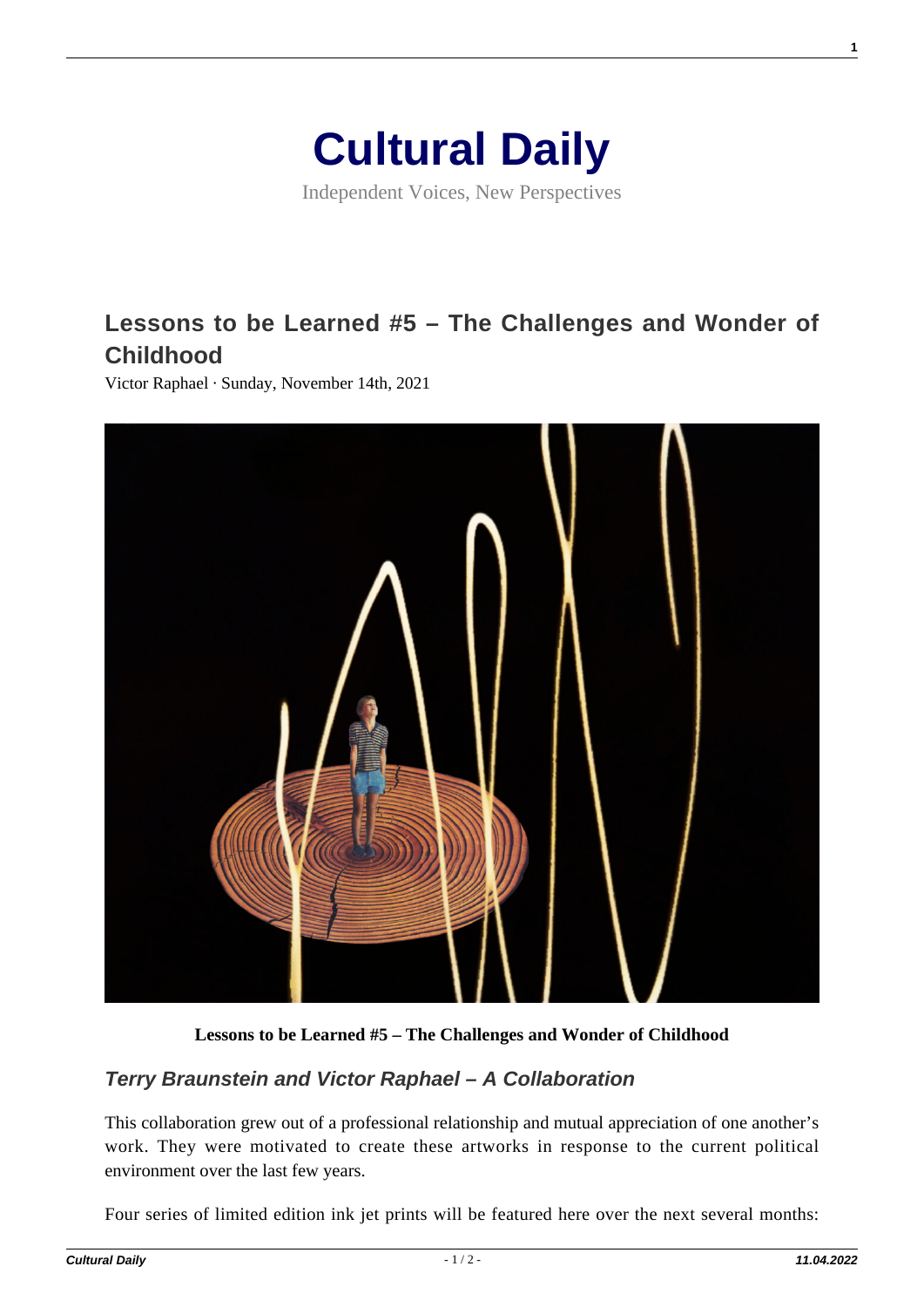

Independent Voices, New Perspectives

## **[Lessons to be Learned #5 – The Challenges and Wonder of](https://culturaldaily.com/lessons-to-be-learned-5-the-challenges-and-wonder-of-childhood/) [Childhood](https://culturaldaily.com/lessons-to-be-learned-5-the-challenges-and-wonder-of-childhood/)**

Victor Raphael · Sunday, November 14th, 2021



**Lessons to be Learned #5 – The Challenges and Wonder of Childhood**

## **Terry Braunstein and Victor Raphael – A Collaboration**

This collaboration grew out of a professional relationship and mutual appreciation of one another's work. They were motivated to create these artworks in response to the current political environment over the last few years.

Four series of limited edition ink jet prints will be featured here over the next several months:

**1**